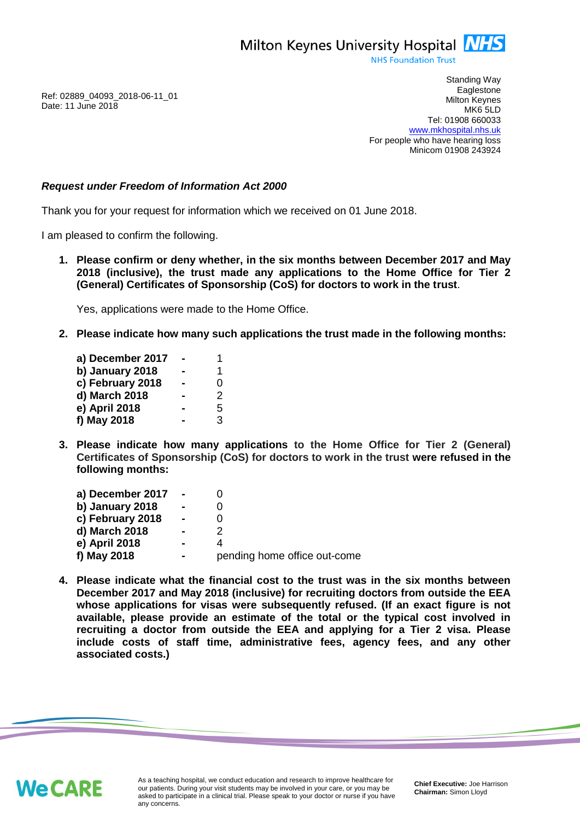Milton Keynes University Hospital **NHS** 

**NHS Foundation Trust** 

Ref: 02889\_04093\_2018-06-11\_01 Date: 11 June 2018

Standing Way **Eaglestone** Milton Keynes MK6 5LD Tel: 01908 660033 [www.mkhospital.nhs.uk](http://www.mkhospital.nhs.uk/) For people who have hearing loss Minicom 01908 243924

## *Request under Freedom of Information Act 2000*

Thank you for your request for information which we received on 01 June 2018.

I am pleased to confirm the following.

**1. Please confirm or deny whether, in the six months between December 2017 and May 2018 (inclusive), the trust made any applications to the Home Office for Tier 2 (General) Certificates of Sponsorship (CoS) for doctors to work in the trust**.

Yes, applications were made to the Home Office.

**2. Please indicate how many such applications the trust made in the following months:**

| a) December 2017 | 1 |
|------------------|---|
| b) January 2018  | 1 |
| c) February 2018 | 0 |
| d) March 2018    | 2 |
| e) April 2018    | 5 |
| f) May 2018      | 3 |

**3. Please indicate how many applications to the Home Office for Tier 2 (General) Certificates of Sponsorship (CoS) for doctors to work in the trust were refused in the following months:**

| a) December 2017 | $\sim$         |                              |
|------------------|----------------|------------------------------|
| b) January 2018  | $\blacksquare$ |                              |
| c) February 2018 | $\blacksquare$ |                              |
| d) March 2018    | $\blacksquare$ |                              |
| e) April 2018    |                |                              |
| f) May 2018      |                | pending home office out-come |

**4. Please indicate what the financial cost to the trust was in the six months between December 2017 and May 2018 (inclusive) for recruiting doctors from outside the EEA whose applications for visas were subsequently refused. (If an exact figure is not available, please provide an estimate of the total or the typical cost involved in recruiting a doctor from outside the EEA and applying for a Tier 2 visa. Please include costs of staff time, administrative fees, agency fees, and any other associated costs.)**